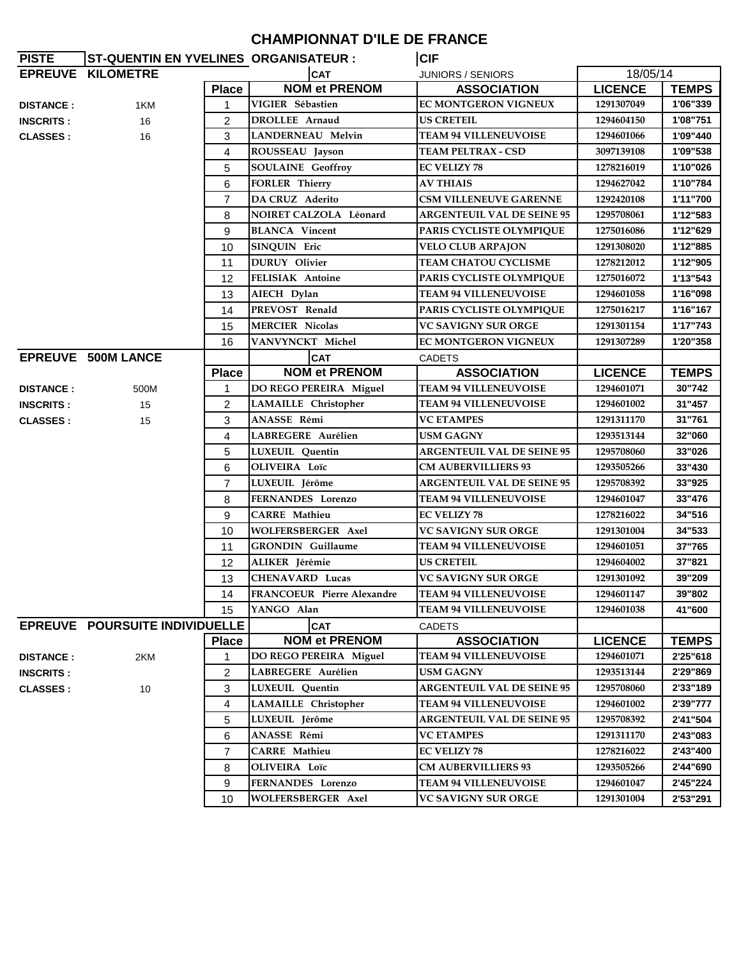## **CHAMPIONNAT D'ILE DE FRANCE**

| <b>PISTE</b>     | <b>ST-QUENTIN EN YVELINES ORGANISATEUR :</b> |                |                                   | <b>CIF</b>                        |                |              |
|------------------|----------------------------------------------|----------------|-----------------------------------|-----------------------------------|----------------|--------------|
|                  | EPREUVE KILOMETRE                            |                | <b>CAT</b>                        | <b>JUNIORS / SENIORS</b>          | 18/05/14       |              |
|                  |                                              | <b>Place</b>   | <b>NOM et PRENOM</b>              | <b>ASSOCIATION</b>                | <b>LICENCE</b> | <b>TEMPS</b> |
| <b>DISTANCE:</b> | 1KM                                          | $\mathbf{1}$   | VIGIER Sébastien                  | EC MONTGERON VIGNEUX              | 1291307049     | 1'06"339     |
| <b>INSCRITS:</b> | 16                                           | 2              | DROLLEE Arnaud                    | <b>US CRETEIL</b>                 | 1294604150     | 1'08"751     |
| <b>CLASSES:</b>  | 16                                           | 3              | <b>LANDERNEAU Melvin</b>          | <b>TEAM 94 VILLENEUVOISE</b>      | 1294601066     | 1'09"440     |
|                  |                                              | 4              | ROUSSEAU Jayson                   | <b>TEAM PELTRAX - CSD</b>         | 3097139108     | 1'09"538     |
|                  |                                              | 5              | <b>SOULAINE</b> Geoffroy          | <b>EC VELIZY 78</b>               | 1278216019     | 1'10"026     |
|                  |                                              | 6              | <b>FORLER Thierry</b>             | <b>AV THIAIS</b>                  | 1294627042     | 1'10"784     |
|                  |                                              | $\overline{7}$ | DA CRUZ Aderito                   | <b>CSM VILLENEUVE GARENNE</b>     | 1292420108     | 1'11"700     |
|                  |                                              | 8              | NOIRET CALZOLA Léonard            | <b>ARGENTEUIL VAL DE SEINE 95</b> | 1295708061     | 1'12"583     |
|                  |                                              | 9              | <b>BLANCA</b> Vincent             | PARIS CYCLISTE OLYMPIQUE          | 1275016086     | 1'12"629     |
|                  |                                              | 10             | SINQUIN Eric                      | <b>VELO CLUB ARPAJON</b>          | 1291308020     | 1'12"885     |
|                  |                                              | 11             | <b>DURUY</b> Olivier              | <b>TEAM CHATOU CYCLISME</b>       | 1278212012     | 1'12"905     |
|                  |                                              | 12             | <b>FELISIAK Antoine</b>           | <b>PARIS CYCLISTE OLYMPIQUE</b>   | 1275016072     | 1'13"543     |
|                  |                                              | 13             | AIECH Dylan                       | <b>TEAM 94 VILLENEUVOISE</b>      | 1294601058     | 1'16"098     |
|                  |                                              | 14             | PREVOST Renald                    | PARIS CYCLISTE OLYMPIQUE          | 1275016217     | 1'16"167     |
|                  |                                              | 15             | <b>MERCIER Nicolas</b>            | <b>VC SAVIGNY SUR ORGE</b>        | 1291301154     | 1'17"743     |
|                  |                                              | 16             | VANVYNCKT Michel                  | <b>EC MONTGERON VIGNEUX</b>       | 1291307289     | 1'20"358     |
|                  | <b>EPREUVE 500M LANCE</b>                    |                | <b>CAT</b>                        | <b>CADETS</b>                     |                |              |
|                  |                                              | <b>Place</b>   | <b>NOM et PRENOM</b>              | <b>ASSOCIATION</b>                | <b>LICENCE</b> | <b>TEMPS</b> |
| <b>DISTANCE:</b> | 500M                                         | 1              | DO REGO PEREIRA Miguel            | <b>TEAM 94 VILLENEUVOISE</b>      | 1294601071     | 30"742       |
| <b>INSCRITS:</b> | 15                                           | 2              | LAMAILLE Christopher              | <b>TEAM 94 VILLENEUVOISE</b>      | 1294601002     | 31"457       |
| <b>CLASSES:</b>  | 15                                           | 3              | ANASSE Rémi                       | <b>VC ETAMPES</b>                 | 1291311170     | 31"761       |
|                  |                                              | 4              | LABREGERE Aurélien                | USM GAGNY                         | 1293513144     | 32"060       |
|                  |                                              | 5              | LUXEUIL Quentin                   | <b>ARGENTEUIL VAL DE SEINE 95</b> | 1295708060     | 33"026       |
|                  |                                              | 6              | OLIVEIRA Loïc                     | <b>CM AUBERVILLIERS 93</b>        | 1293505266     | 33"430       |
|                  |                                              | $\overline{7}$ | LUXEUIL Jérôme                    | <b>ARGENTEUIL VAL DE SEINE 95</b> | 1295708392     | 33"925       |
|                  |                                              | 8              | FERNANDES Lorenzo                 | <b>TEAM 94 VILLENEUVOISE</b>      | 1294601047     | 33"476       |
|                  |                                              | 9              | <b>CARRE</b> Mathieu              | <b>EC VELIZY 78</b>               | 1278216022     | 34"516       |
|                  |                                              | 10             | WOLFERSBERGER Axel                | VC SAVIGNY SUR ORGE               | 1291301004     | 34"533       |
|                  |                                              | 11             | <b>GRONDIN</b> Guillaume          | <b>TEAM 94 VILLENEUVOISE</b>      | 1294601051     | 37"765       |
|                  |                                              | 12             | ALIKER Jérémie                    | <b>US CRETEIL</b>                 | 1294604002     | 37"821       |
|                  |                                              | 13             | <b>CHENAVARD Lucas</b>            | <b>VC SAVIGNY SUR ORGE</b>        | 1291301092     | 39"209       |
|                  |                                              | 14             | <b>FRANCOEUR</b> Pierre Alexandre | <b>TEAM 94 VILLENEUVOISE</b>      | 1294601147     | 39"802       |
|                  |                                              | 15             | YANGO Alan                        | <b>TEAM 94 VILLENEUVOISE</b>      | 1294601038     | 41"600       |
|                  | EPREUVE POURSUITE INDIVIDUELLE               |                | <b>CAT</b>                        | <b>CADETS</b>                     |                |              |
|                  |                                              | <b>Place</b>   | <b>NOM et PRENOM</b>              | <b>ASSOCIATION</b>                | <b>LICENCE</b> | <b>TEMPS</b> |
| <b>DISTANCE:</b> | 2KM                                          | 1              | DO REGO PEREIRA Miguel            | <b>TEAM 94 VILLENEUVOISE</b>      | 1294601071     | 2'25"618     |
| <b>INSCRITS:</b> |                                              | 2              | LABREGERE Aurélien                | USM GAGNY                         | 1293513144     | 2'29"869     |
| <b>CLASSES:</b>  | 10                                           | 3              | LUXEUIL Quentin                   | <b>ARGENTEUIL VAL DE SEINE 95</b> | 1295708060     | 2'33"189     |
|                  |                                              | 4              | LAMAILLE Christopher              | <b>TEAM 94 VILLENEUVOISE</b>      | 1294601002     | 2'39"777     |
|                  |                                              | 5              | LUXEUIL Jérôme                    | <b>ARGENTEUIL VAL DE SEINE 95</b> | 1295708392     | 2'41"504     |
|                  |                                              | 6              | ANASSE Rémi                       | <b>VC ETAMPES</b>                 | 1291311170     | 2'43"083     |
|                  |                                              | $\overline{7}$ | <b>CARRE</b> Mathieu              | <b>EC VELIZY 78</b>               | 1278216022     | 2'43"400     |
|                  |                                              | 8              | OLIVEIRA Loïc                     | <b>CM AUBERVILLIERS 93</b>        | 1293505266     | 2'44"690     |
|                  |                                              | 9              | FERNANDES Lorenzo                 | <b>TEAM 94 VILLENEUVOISE</b>      | 1294601047     | 2'45"224     |
|                  |                                              | 10             | WOLFERSBERGER Axel                | <b>VC SAVIGNY SUR ORGE</b>        | 1291301004     | 2'53"291     |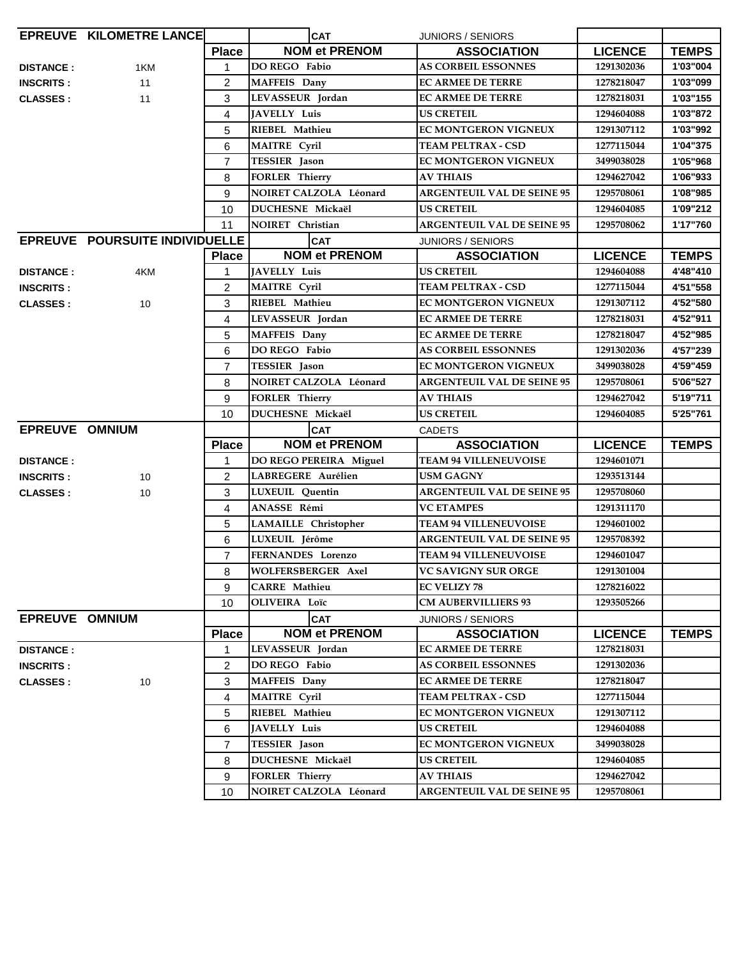|                       | <b>EPREUVE KILOMETRE LANCE</b> |                | <b>CAT</b>                                      | JUNIORS / SENIORS                                     |                          |              |
|-----------------------|--------------------------------|----------------|-------------------------------------------------|-------------------------------------------------------|--------------------------|--------------|
|                       |                                | <b>Place</b>   | <b>NOM et PRENOM</b>                            | <b>ASSOCIATION</b>                                    | <b>LICENCE</b>           | <b>TEMPS</b> |
| <b>DISTANCE:</b>      | 1KM                            | $\mathbf{1}$   | DO REGO Fabio                                   | <b>AS CORBEIL ESSONNES</b>                            | 1291302036               | 1'03"004     |
| <b>INSCRITS:</b>      | 11                             | 2              | <b>MAFFEIS</b> Dany                             | <b>EC ARMEE DE TERRE</b>                              | 1278218047               | 1'03"099     |
| <b>CLASSES:</b>       | 11                             | 3              | LEVASSEUR Jordan                                | <b>EC ARMEE DE TERRE</b>                              | 1278218031               | 1'03"155     |
|                       |                                | 4              | JAVELLY Luis                                    | <b>US CRETEIL</b>                                     | 1294604088               | 1'03"872     |
|                       |                                | 5              | RIEBEL Mathieu                                  | <b>EC MONTGERON VIGNEUX</b>                           | 1291307112               | 1'03"992     |
|                       |                                | 6              | <b>MAITRE Cyril</b>                             | <b>TEAM PELTRAX - CSD</b>                             | 1277115044               | 1'04"375     |
|                       |                                | $\overline{7}$ | <b>TESSIER</b> Jason                            | EC MONTGERON VIGNEUX                                  | 3499038028               | 1'05"968     |
|                       |                                | 8              | <b>FORLER Thierry</b>                           | <b>AV THIAIS</b>                                      | 1294627042               | 1'06"933     |
|                       |                                | 9              | NOIRET CALZOLA Léonard                          | <b>ARGENTEUIL VAL DE SEINE 95</b>                     | 1295708061               | 1'08"985     |
|                       |                                | 10             | DUCHESNE Mickaël                                | <b>US CRETEIL</b>                                     | 1294604085               | 1'09"212     |
|                       |                                | 11             | NOIRET Christian                                | <b>ARGENTEUIL VAL DE SEINE 95</b>                     | 1295708062               | 1'17"760     |
|                       | EPREUVE POURSUITE INDIVIDUELLE |                | <b>CAT</b>                                      | <b>JUNIORS / SENIORS</b>                              |                          |              |
|                       |                                | <b>Place</b>   | <b>NOM et PRENOM</b>                            | <b>ASSOCIATION</b>                                    | <b>LICENCE</b>           | <b>TEMPS</b> |
| <b>DISTANCE:</b>      | 4KM                            | 1              | <b>JAVELLY Luis</b>                             | <b>US CRETEIL</b>                                     | 1294604088               | 4'48"410     |
| <b>INSCRITS:</b>      |                                | 2              | <b>MAITRE Cyril</b>                             | TEAM PELTRAX - CSD                                    | 1277115044               | 4'51"558     |
| <b>CLASSES:</b>       | 10                             | 3              | RIEBEL Mathieu                                  | <b>EC MONTGERON VIGNEUX</b>                           | 1291307112               | 4'52"580     |
|                       |                                | 4              | LEVASSEUR Jordan                                | <b>EC ARMEE DE TERRE</b>                              | 1278218031               | 4'52"911     |
|                       |                                | 5              | MAFFEIS Dany                                    | <b>EC ARMEE DE TERRE</b>                              | 1278218047               | 4'52"985     |
|                       |                                | 6              | DO REGO Fabio                                   | <b>AS CORBEIL ESSONNES</b>                            | 1291302036               | 4'57"239     |
|                       |                                | $\overline{7}$ | TESSIER Jason                                   | EC MONTGERON VIGNEUX                                  | 3499038028               | 4'59"459     |
|                       |                                | 8              | <b>NOIRET CALZOLA Léonard</b>                   | <b>ARGENTEUIL VAL DE SEINE 95</b>                     | 1295708061               | 5'06"527     |
|                       |                                | 9              | <b>FORLER Thierry</b>                           | <b>AV THIAIS</b>                                      | 1294627042               | 5'19"711     |
|                       |                                | 10             | DUCHESNE Mickaël                                | <b>US CRETEIL</b>                                     | 1294604085               | 5'25"761     |
| <b>EPREUVE OMNIUM</b> |                                |                | <b>CAT</b>                                      | <b>CADETS</b>                                         |                          |              |
|                       |                                | <b>Place</b>   | <b>NOM et PRENOM</b>                            | <b>ASSOCIATION</b>                                    | <b>LICENCE</b>           | <b>TEMPS</b> |
| <b>DISTANCE:</b>      |                                | 1              | DO REGO PEREIRA Miguel                          | <b>TEAM 94 VILLENEUVOISE</b>                          | 1294601071               |              |
| <b>INSCRITS:</b>      | 10                             | 2              | LABREGERE Aurélien                              | <b>USM GAGNY</b>                                      | 1293513144               |              |
| <b>CLASSES:</b>       | 10                             | 3              | LUXEUIL Quentin                                 | <b>ARGENTEUIL VAL DE SEINE 95</b>                     | 1295708060               |              |
|                       |                                | 4              | ANASSE Rémi                                     | <b>VC ETAMPES</b>                                     | 1291311170               |              |
|                       |                                | 5              | <b>LAMAILLE</b> Christopher                     | <b>TEAM 94 VILLENEUVOISE</b>                          | 1294601002               |              |
|                       |                                | 6              | LUXEUIL Jérôme                                  | <b>ARGENTEUIL VAL DE SEINE 95</b>                     | 1295708392               |              |
|                       |                                | $\overline{7}$ | FERNANDES Lorenzo                               | <b>TEAM 94 VILLENEUVOISE</b>                          | 1294601047               |              |
|                       |                                | 8              | <b>WOLFERSBERGER Axel</b>                       | <b>VC SAVIGNY SUR ORGE</b>                            | 1291301004               |              |
|                       |                                | 9              | <b>CARRE</b> Mathieu                            | <b>EC VELIZY 78</b>                                   | 1278216022               |              |
|                       |                                | 10             | OLIVEIRA Loïc                                   | <b>CM AUBERVILLIERS 93</b>                            | 1293505266               |              |
| <b>EPREUVE OMNIUM</b> |                                |                | <b>CAT</b>                                      | <b>JUNIORS / SENIORS</b>                              |                          |              |
|                       |                                | <b>Place</b>   | <b>NOM et PRENOM</b>                            | <b>ASSOCIATION</b>                                    | <b>LICENCE</b>           | <b>TEMPS</b> |
| <b>DISTANCE:</b>      |                                | 1              | LEVASSEUR Jordan                                | EC ARMEE DE TERRE                                     | 1278218031               |              |
| <b>INSCRITS:</b>      |                                | 2              | DO REGO Fabio                                   | <b>AS CORBEIL ESSONNES</b>                            | 1291302036               |              |
| <b>CLASSES:</b>       | 10                             | 3              | <b>MAFFEIS</b> Dany                             | <b>EC ARMEE DE TERRE</b>                              | 1278218047               |              |
|                       |                                | 4              | <b>MAITRE Cyril</b>                             | <b>TEAM PELTRAX - CSD</b>                             | 1277115044               |              |
|                       |                                | 5              | RIEBEL Mathieu                                  | <b>EC MONTGERON VIGNEUX</b>                           | 1291307112               |              |
|                       |                                |                |                                                 |                                                       |                          |              |
|                       |                                | 6              | JAVELLY Luis                                    | <b>US CRETEIL</b>                                     | 1294604088               |              |
|                       |                                | $\overline{7}$ | TESSIER Jason                                   | EC MONTGERON VIGNEUX                                  | 3499038028               |              |
|                       |                                | 8              | DUCHESNE Mickaël                                | <b>US CRETEIL</b>                                     | 1294604085               |              |
|                       |                                | 9<br>10        | <b>FORLER Thierry</b><br>NOIRET CALZOLA Léonard | <b>AV THIAIS</b><br><b>ARGENTEUIL VAL DE SEINE 95</b> | 1294627042<br>1295708061 |              |